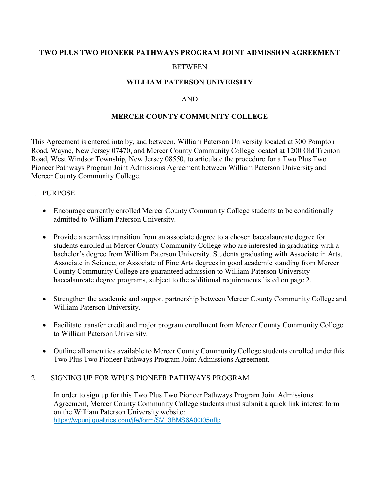## TWO PLUS TWO PIONEER PATHWAYS PROGRAM JOINT ADMISSION AGREEMENT

#### **BETWEEN**

## WILLIAM PATERSON UNIVERSITY

#### AND

## MERCER COUNTY COMMUNITY COLLEGE

This Agreement is entered into by, and between, William Paterson University located at 300 Pompton Road, Wayne, New Jersey 07470, and Mercer County Community College located at 1200 Old Trenton Road, West Windsor Township, New Jersey 08550, to articulate the procedure for a Two Plus Two Pioneer Pathways Program Joint Admissions Agreement between William Paterson University and Mercer County Community College.

#### 1. PURPOSE

- Encourage currently enrolled Mercer County Community College students to be conditionally admitted to William Paterson University.
- Provide a seamless transition from an associate degree to a chosen baccalaureate degree for students enrolled in Mercer County Community College who are interested in graduating with a bachelor's degree from William Paterson University. Students graduating with Associate in Arts, Associate in Science, or Associate of Fine Arts degrees in good academic standing from Mercer County Community College are guaranteed admission to William Paterson University baccalaureate degree programs, subject to the additional requirements listed on page 2.
- Strengthen the academic and support partnership between Mercer County Community College and William Paterson University.
- Facilitate transfer credit and major program enrollment from Mercer County Community College to William Paterson University.
- Outline all amenities available to Mercer County Community College students enrolled under this Two Plus Two Pioneer Pathways Program Joint Admissions Agreement.
- 2. SIGNING UP FOR WPU'S PIONEER PATHWAYS PROGRAM

In order to sign up for this Two Plus Two Pioneer Pathways Program Joint Admissions Agreement, Mercer County Community College students must submit a quick link interest form on the William Paterson University website: https://wpunj.qualtrics.com/jfe/form/SV\_3BMS6A00t05nfIp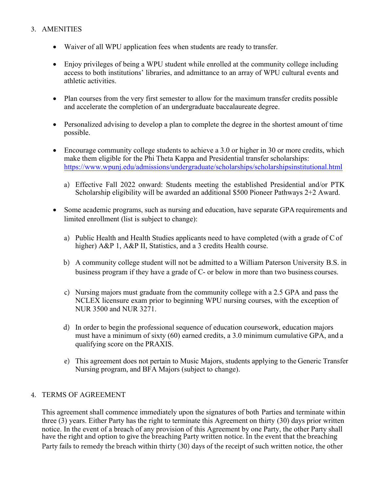# 3. AMENITIES

- Waiver of all WPU application fees when students are ready to transfer.
- Enjoy privileges of being a WPU student while enrolled at the community college including access to both institutions' libraries, and admittance to an array of WPU cultural events and athletic activities.
- Plan courses from the very first semester to allow for the maximum transfer credits possible and accelerate the completion of an undergraduate baccalaureate degree.
- Personalized advising to develop a plan to complete the degree in the shortest amount of time possible.
- Encourage community college students to achieve a 3.0 or higher in 30 or more credits, which make them eligible for the Phi Theta Kappa and Presidential transfer scholarships: https://www.wpunj.edu/admissions/undergraduate/scholarships/scholarshipsinstitutional.html
	- a) Effective Fall 2022 onward: Students meeting the established Presidential and/or PTK Scholarship eligibility will be awarded an additional \$500 Pioneer Pathways 2+2 Award.
- Some academic programs, such as nursing and education, have separate GPA requirements and limited enrollment (list is subject to change):
	- a) Public Health and Health Studies applicants need to have completed (with a grade of C of higher) A&P 1, A&P II, Statistics, and a 3 credits Health course.
	- b) A community college student will not be admitted to a William Paterson University B.S. in business program if they have a grade of C- or below in more than two business courses.
	- c) Nursing majors must graduate from the community college with a 2.5 GPA and pass the NCLEX licensure exam prior to beginning WPU nursing courses, with the exception of NUR 3500 and NUR 3271.
	- d) In order to begin the professional sequence of education coursework, education majors must have a minimum of sixty (60) earned credits, a 3.0 minimum cumulative GPA, and a qualifying score on the PRAXIS.
	- e) This agreement does not pertain to Music Majors, students applying to the Generic Transfer Nursing program, and BFA Majors (subject to change).

## 4. TERMS OF AGREEMENT

This agreement shall commence immediately upon the signatures of both Parties and terminate within three (3) years. Either Party has the right to terminate this Agreement on thirty (30) days prior written notice. In the event of a breach of any provision of this Agreement by one Party, the other Party shall have the right and option to give the breaching Party written notice. In the event that the breaching Party fails to remedy the breach within thirty (30) days of the receipt of such written notice, the other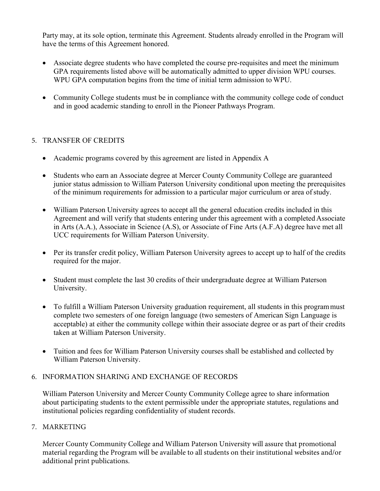Party may, at its sole option, terminate this Agreement. Students already enrolled in the Program will have the terms of this Agreement honored.

- Associate degree students who have completed the course pre-requisites and meet the minimum GPA requirements listed above will be automatically admitted to upper division WPU courses. WPU GPA computation begins from the time of initial term admission to WPU.
- Community College students must be in compliance with the community college code of conduct and in good academic standing to enroll in the Pioneer Pathways Program.

## 5. TRANSFER OF CREDITS

- Academic programs covered by this agreement are listed in Appendix A
- Students who earn an Associate degree at Mercer County Community College are guaranteed junior status admission to William Paterson University conditional upon meeting the prerequisites of the minimum requirements for admission to a particular major curriculum or area of study.
- William Paterson University agrees to accept all the general education credits included in this Agreement and will verify that students entering under this agreement with a completed Associate in Arts (A.A.), Associate in Science (A.S), or Associate of Fine Arts (A.F.A) degree have met all UCC requirements for William Paterson University.
- Per its transfer credit policy, William Paterson University agrees to accept up to half of the credits required for the major.
- Student must complete the last 30 credits of their undergraduate degree at William Paterson University.
- To fulfill a William Paterson University graduation requirement, all students in this program must complete two semesters of one foreign language (two semesters of American Sign Language is acceptable) at either the community college within their associate degree or as part of their credits taken at William Paterson University.
- Tuition and fees for William Paterson University courses shall be established and collected by William Paterson University.

# 6. INFORMATION SHARING AND EXCHANGE OF RECORDS

William Paterson University and Mercer County Community College agree to share information about participating students to the extent permissible under the appropriate statutes, regulations and institutional policies regarding confidentiality of student records.

## 7. MARKETING

Mercer County Community College and William Paterson University will assure that promotional material regarding the Program will be available to all students on their institutional websites and/or additional print publications.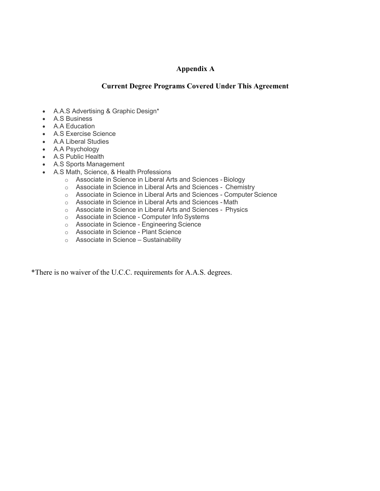## Appendix A

## Current Degree Programs Covered Under This Agreement

- A.A.S Advertising & Graphic Design\*
- A.S Business
- A.A Education
- A.S Exercise Science
- A.A Liberal Studies
- A.A Psychology
- A.S Public Health
- A.S Sports Management
- A.S Math, Science, & Health Professions
	- o Associate in Science in Liberal Arts and Sciences Biology
	- o Associate in Science in Liberal Arts and Sciences Chemistry
	- o Associate in Science in Liberal Arts and Sciences Computer Science
	- o Associate in Science in Liberal Arts and Sciences Math
	- o Associate in Science in Liberal Arts and Sciences Physics
	- o Associate in Science Computer Info Systems
	- o Associate in Science Engineering Science
	- o Associate in Science Plant Science
	- o Associate in Science Sustainability

\*There is no waiver of the U.C.C. requirements for A.A.S. degrees.